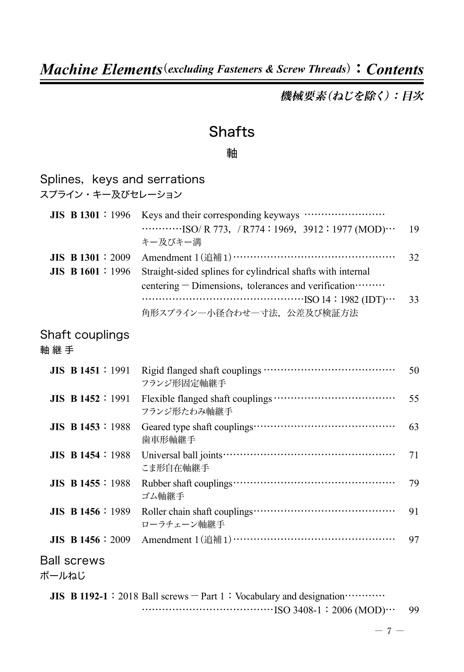機械要素(ねじを除く):目次

## **Shafts**

#### 軸

| Splines, keys and serrations<br>スプライン・キー及びセレーション |                                                                                                                       |    |
|--------------------------------------------------|-----------------------------------------------------------------------------------------------------------------------|----|
| <b>JIS B 1301</b> : 1996                         | $\cdots$ $\cdots$ ISO/ R 773, / R774: 1969, 3912: 1977 (MOD) $\cdots$<br>キー及びキー溝                                      | 19 |
| $JIS$ B 1301 : 2009<br>JIS B 1601:1996           | Straight-sided splines for cylindrical shafts with internal<br>centering – Dimensions, tolerances and verification……… | 32 |
|                                                  | $\cdots$ ISO 14 : 1982 (IDT) $\cdots$<br>角形スプライン一小径合わせ一寸法、公差及び検証方法                                                    | 33 |
| Shaft couplings<br>軸継手                           |                                                                                                                       |    |
| <b>JIS B 1451</b> : 1991                         | フランジ形固定軸継手                                                                                                            | 50 |
| <b>JIS B 1452</b> : 1991                         | フランジ形たわみ軸継手                                                                                                           | 55 |
| $JIS$ B 1453 : 1988                              | 歯車形軸継手                                                                                                                | 63 |
| <b>JIS B 1454 : 1988</b>                         | こま形自在軸継手                                                                                                              | 71 |
| <b>JIS B 1455</b> : 1988                         | ゴム軸継手                                                                                                                 | 79 |
| <b>JIS B 1456</b> : 1989                         | ローラチェーン軸継手                                                                                                            | 91 |
| <b>JIS B 1456</b> : 2009                         |                                                                                                                       | 97 |
| <b>Ball screws</b><br>ボールねじ                      |                                                                                                                       |    |
|                                                  | JIS B 1192-1 : 2018 Ball screws $-$ Part 1 : Vocabulary and designation $\cdots$                                      |    |
|                                                  |                                                                                                                       | 99 |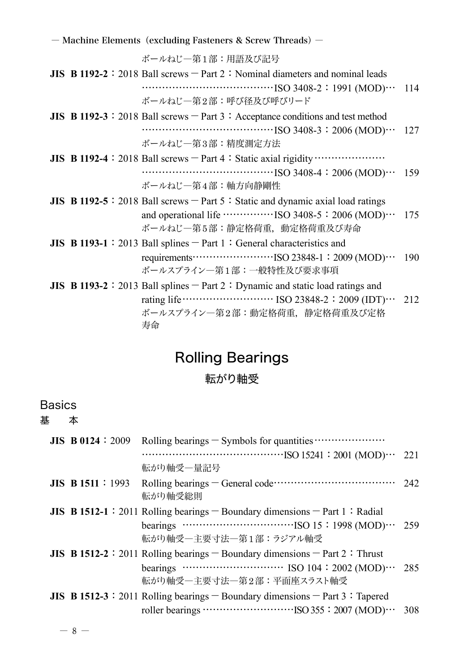ボールねじ―第1部:用語及び記号

- **JIS B** 1192-2 : 2018 Ball screws  $-$  Part 2 : Nominal diameters and nominal leads …………………………………ISO 3408-2:1991 (MOD)… 114 ボールねじ―第2部:呼び径及び呼びリード
- **JIS B** 1192-3 : 2018 Ball screws  $-$  Part 3 : Acceptance conditions and test method …………………………………ISO 3408-3:2006 (MOD)… 127 ボールねじ―第3部:精度測定方法
- **JIS B 1192-4**:2018 Ball screws-Part 4:Static axial rigidity………………… …………………………………ISO 3408-4:2006 (MOD)… 159 ボールねじ―第4部:軸方向静剛性
- **JIS B** 1192-5 : 2018 Ball screws  $-$  Part 5 : Static and dynamic axial load ratings and operational life …………ISO 3408-5: 2006 (MOD)… 175 ボールねじ―第5部:静定格荷重,動定格荷重及び寿命
- **JIS B** 1193-1 : 2013 Ball splines Part 1: General characteristics and requirements……………………ISO 23848-1:2009 (MOD)… 190 ボールスプライン―第1部:一般特性及び要求事項
- **JIS B 1193-2**: 2013 Ball splines Part 2: Dynamic and static load ratings and rating life……………………… ISO 23848-2:2009 (IDT)… 212 ボールスプライン―第2部:動定格荷重,静定格荷重及び定格 寿命

## Rolling Bearings

#### 転がり軸受

#### **Basics**

基 本

| JIS B 0124 : 2009   |                                                                                                                                 |  |
|---------------------|---------------------------------------------------------------------------------------------------------------------------------|--|
|                     |                                                                                                                                 |  |
|                     | 転がり軸受一量記号                                                                                                                       |  |
| $JIS$ B 1511 : 1993 | Rolling bearings – General code $\cdots$ $\cdots$ $\cdots$ $\cdots$ $\cdots$ $\cdots$ 242<br>転がり軸受総則                            |  |
|                     | <b>JIS B 1512-1</b> : 2011 Rolling bearings $-$ Boundary dimensions $-$ Part 1 : Radial                                         |  |
|                     |                                                                                                                                 |  |
|                     | 転がり軸受一主要寸法一第1部:ラジアル軸受                                                                                                           |  |
|                     | <b>JIS B 1512-2</b> : 2011 Rolling bearings $-$ Boundary dimensions $-$ Part 2 : Thrust                                         |  |
|                     |                                                                                                                                 |  |
|                     | 転がり軸受一主要寸法一第2部:平面座スラスト軸受                                                                                                        |  |
|                     | <b>JIS B 1512-3</b> : 2011 Rolling bearings $-$ Boundary dimensions $-$ Part 3 : Tapered                                        |  |
|                     | roller bearings $\cdots$ $\cdots$ $\cdots$ $\cdots$ $\cdots$ $\cdots$ $\cdots$ $\cdots$ $\cdots$ $\cdots$ $\cdots$ $\cdots$ 308 |  |

― **8** ―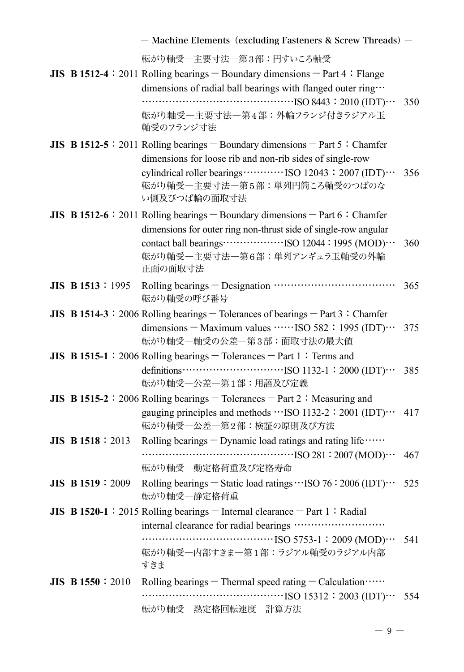|                          | - Machine Elements (excluding Fasteners & Screw Threads) -                                                                                        |     |
|--------------------------|---------------------------------------------------------------------------------------------------------------------------------------------------|-----|
|                          | 転がり軸受一主要寸法一第3部:円すいころ軸受                                                                                                                            |     |
|                          | JIS B 1512-4: 2011 Rolling bearings $-$ Boundary dimensions $-$ Part 4: Flange                                                                    |     |
|                          | dimensions of radial ball bearings with flanged outer ring                                                                                        |     |
|                          | 転がり軸受一主要寸法一第4部:外輪フランジ付きラジアル玉                                                                                                                      | 350 |
|                          | 軸受のフランジ寸法                                                                                                                                         |     |
|                          | JIS B 1512-5: 2011 Rolling bearings - Boundary dimensions - Part 5: Chamfer                                                                       |     |
|                          | dimensions for loose rib and non-rib sides of single-row                                                                                          |     |
|                          | 転がり軸受一主要寸法一第5部:単列円筒ころ軸受のつばのな                                                                                                                      | 356 |
|                          | い側及びつば輪の面取寸法                                                                                                                                      |     |
|                          | JIS B 1512-6: 2011 Rolling bearings - Boundary dimensions - Part 6: Chamfer                                                                       |     |
|                          | dimensions for outer ring non-thrust side of single-row angular                                                                                   |     |
|                          | 転がり軸受一主要寸法一第6部:単列アンギュラ玉軸受の外輪                                                                                                                      | 360 |
|                          | 正面の面取寸法                                                                                                                                           |     |
| <b>JIS B 1513</b> : 1995 |                                                                                                                                                   | 365 |
|                          | 転がり軸受の呼び番号                                                                                                                                        |     |
|                          | JIS B 1514-3 : 2006 Rolling bearings $-$ Tolerances of bearings $-$ Part 3 : Chamfer<br>dimensions - Maximum values ······ISO 582: 1995 (IDT) ··· |     |
|                          | 転がり軸受一軸受の公差一第3部:面取寸法の最大値                                                                                                                          | 375 |
|                          | JIS B 1515-1: 2006 Rolling bearings - Tolerances - Part 1: Terms and                                                                              |     |
|                          | definitions $\cdots$ $\cdots$ $\cdots$ $\cdots$ $\cdots$ $\cdots$ $\cdots$ $\cdots$ $\cdots$ $\cdots$ $\cdots$ $\cdots$<br>転がり軸受一公差一第1部:用語及び定義    | 385 |
|                          | JIS B 1515-2 : 2006 Rolling bearings $-$ Tolerances $-$ Part 2 : Measuring and                                                                    |     |
|                          | gauging principles and methods ··· ISO 1132-2: 2001 (IDT) ···<br>転がり軸受一公差一第2部:検証の原則及び方法                                                           | 417 |
| <b>JIS B 1518</b> : 2013 | Rolling bearings - Dynamic load ratings and rating life                                                                                           |     |
|                          |                                                                                                                                                   | 467 |
|                          | 転がり軸受一動定格荷重及び定格寿命                                                                                                                                 |     |
| $JIS$ B 1519 : 2009      | Rolling bearings $-$ Static load ratings $\cdots$ ISO 76 : 2006 (IDT) $\cdots$<br>転がり軸受一静定格荷重                                                     | 525 |
|                          | JIS B 1520-1 : 2015 Rolling bearings $-$ Internal clearance $-$ Part 1 : Radial                                                                   |     |
|                          | internal clearance for radial bearings                                                                                                            |     |
|                          | 転がり軸受一内部すきま一第1部:ラジアル軸受のラジアル内部                                                                                                                     | 541 |
|                          | すきま                                                                                                                                               |     |
| <b>JIS B 1550</b> : 2010 | Rolling bearings $-$ Thermal speed rating $-$ Calculation $\cdots$                                                                                |     |
|                          |                                                                                                                                                   | 554 |
|                          | 転がり軸受一熱定格回転速度一計算方法                                                                                                                                |     |

― **9** ―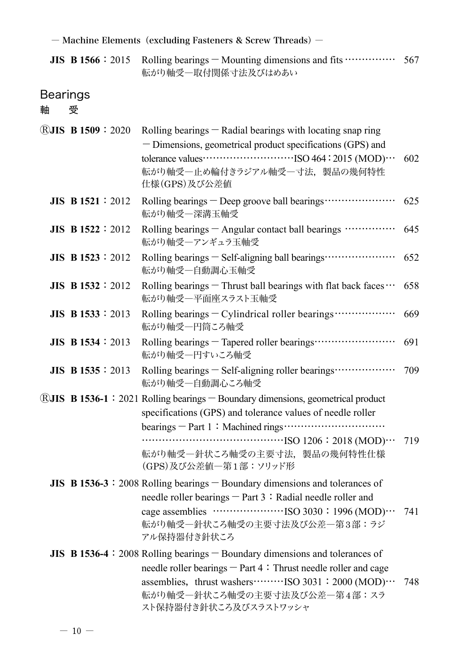**JIS B 1566**: 2015 Rolling bearings - Mounting dimensions and fits …………… 567 転がり軸受―取付関係寸法及びはめあい

# Bearings<br>軸 受

軸

| <b>®JIS B 1509:2020</b>  | Rolling bearings $-$ Radial bearings with locating snap ring<br>- Dimensions, geometrical product specifications (GPS) and<br>tolerance values $\cdots$ $\cdots$ $\cdots$ $\cdots$ $\cdots$ $\cdots$ $\cdots$ $\cdots$ $\cdots$ $\cdots$ $\cdots$ $\cdots$ $\cdots$ $\cdots$ $\cdots$ $\cdots$ $\cdots$ $\cdots$ $\cdots$ $\cdots$ $\cdots$ $\cdots$ $\cdots$ $\cdots$ $\cdots$ $\cdots$ $\cdots$ $\cdots$ $\cdots$ $\cdots$ $\cdots$ $\cdots$ $\cdots$ $\cdots$<br>転がり軸受一止め輪付きラジアル軸受一寸法、製品の幾何特性<br>仕様(GPS)及び公差値 | 602 |
|--------------------------|------------------------------------------------------------------------------------------------------------------------------------------------------------------------------------------------------------------------------------------------------------------------------------------------------------------------------------------------------------------------------------------------------------------------------------------------------------------------------------------------------------------|-----|
| <b>JIS B 1521</b> : 2012 | Rolling bearings - Deep groove ball bearings<br>転がり軸受一深溝玉軸受                                                                                                                                                                                                                                                                                                                                                                                                                                                      | 625 |
| JIS B $1522 : 2012$      | Rolling bearings - Angular contact ball bearings<br>転がり軸受ーアンギュラ玉軸受                                                                                                                                                                                                                                                                                                                                                                                                                                               | 645 |
| $JIS$ B 1523 : 2012      | Rolling bearings - Self-aligning ball bearings<br>転がり軸受一自動調心玉軸受                                                                                                                                                                                                                                                                                                                                                                                                                                                  | 652 |
| JIS B $1532 : 2012$      | Rolling bearings $-$ Thrust ball bearings with flat back faces $\cdots$<br>転がり軸受一平面座スラスト玉軸受                                                                                                                                                                                                                                                                                                                                                                                                                      | 658 |
| $JIS$ B 1533 : 2013      | Rolling bearings - Cylindrical roller bearings<br>転がり軸受一円筒ころ軸受                                                                                                                                                                                                                                                                                                                                                                                                                                                   | 669 |
| <b>JIS B 1534 : 2013</b> | Rolling bearings - Tapered roller bearings ·····························<br>転がり軸受一円すいころ軸受                                                                                                                                                                                                                                                                                                                                                                                                                        | 691 |
| JIS B $1535 : 2013$      | Rolling bearings - Self-aligning roller bearings<br>転がり軸受一自動調心ころ軸受                                                                                                                                                                                                                                                                                                                                                                                                                                               | 709 |
|                          | ®JIS B 1536-1: 2021 Rolling bearings - Boundary dimensions, geometrical product<br>specifications (GPS) and tolerance values of needle roller<br>転がり軸受一針状ころ軸受の主要寸法、製品の幾何特性仕様<br>(GPS)及び公差値一第1部:ソリッド形                                                                                                                                                                                                                                                                                                             | 719 |
|                          | JIS B 1536-3 $\div$ 2008 Rolling bearings $-$ Boundary dimensions and tolerances of<br>needle roller bearings $-$ Part 3: Radial needle roller and<br>転がり軸受一針状ころ軸受の主要寸法及び公差一第3部:ラジ<br>アル保持器付き針状ころ                                                                                                                                                                                                                                                                                                                | 741 |
|                          | JIS B 1536-4 : 2008 Rolling bearings $-$ Boundary dimensions and tolerances of<br>needle roller bearings - Part 4: Thrust needle roller and cage<br>assemblies, thrust washers ··········· ISO 3031:2000 (MOD) ···<br>転がり軸受一針状ころ軸受の主要寸法及び公差一第4部:スラ<br>スト保持器付き針状ころ及びスラストワッシャ                                                                                                                                                                                                                                      | 748 |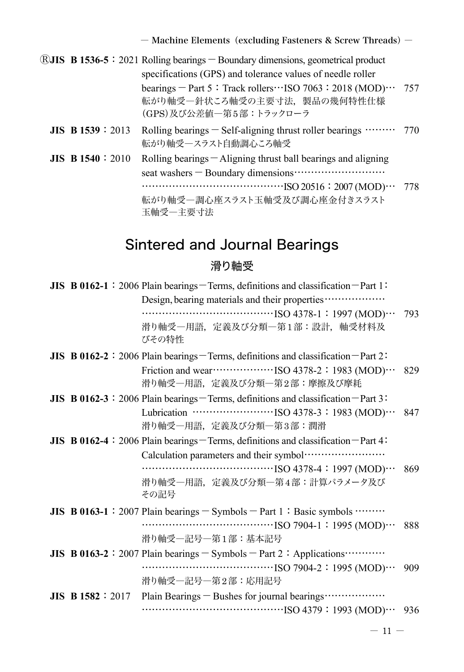|                          | $\left[\text{RJIIS}\right]$ B 1536-5 : 2021 Rolling bearings $-$ Boundary dimensions, geometrical product                  |  |
|--------------------------|----------------------------------------------------------------------------------------------------------------------------|--|
|                          | specifications (GPS) and tolerance values of needle roller                                                                 |  |
|                          | bearings - Part 5: Track rollers ··· ISO 7063: 2018 (MOD) ··· 757<br>転がり軸受一針状ころ軸受の主要寸法、製品の幾何特性仕様<br>(GPS)及び公差値一第5部:トラックローラ |  |
| <b>JIS B 1539</b> : 2013 | Rolling bearings $-$ Self-aligning thrust roller bearings $\cdots$ 770<br>転がり軸受一スラスト自動調心ころ軸受                               |  |
| $JIS$ B 1540 : 2010      | Rolling bearings $-$ Aligning thrust ball bearings and aligning<br>転がり軸受一調心座スラスト玉軸受及び調心座金付きスラスト<br>玉軸受一主要寸法                |  |
|                          |                                                                                                                            |  |

# Sintered and Journal Bearings

### 滑り軸受

|  | JIS B 0162-1: 2006 Plain bearings-Terms, definitions and classification-Part 1:             |     |
|--|---------------------------------------------------------------------------------------------|-----|
|  | Design, bearing materials and their properties                                              |     |
|  | $\cdots$ [SO 4378-1 : 1997 (MOD) $\cdots$                                                   | 793 |
|  | 滑り軸受―用語,定義及び分類―第1部:設計,軸受材料及<br>びその特性                                                        |     |
|  | JIS B 0162-2 : 2006 Plain bearings – Terms, definitions and classification – Part 2:        |     |
|  | 滑り軸受一用語,定義及び分類―第2部:摩擦及び摩耗                                                                   | 829 |
|  | JIS B 0162-3 : 2006 Plain bearings – Terms, definitions and classification – Part 3:        |     |
|  |                                                                                             | 847 |
|  | 滑り軸受一用語, 定義及び分類一第3部:潤滑                                                                      |     |
|  | <b>JIS B 0162-4</b> : 2006 Plain bearings – Terms, definitions and classification – Part 4: |     |
|  | Calculation parameters and their symbol ····························                        |     |
|  | $\cdots$ [SO 4378-4 : 1997 (MOD) $\cdots$                                                   | 869 |
|  | 滑り軸受一用語,定義及び分類―第4部:計算パラメータ及び<br>その記号                                                        |     |
|  | JIS B 0163-1 : 2007 Plain bearings $-$ Symbols $-$ Part 1 : Basic symbols $\cdots$          |     |
|  |                                                                                             | 888 |
|  | 滑り軸受―記号―第1部:基本記号                                                                            |     |
|  | JIS B 0163-2 : 2007 Plain bearings $-$ Symbols $-$ Part 2 : Applications $\cdots$           |     |
|  |                                                                                             | 909 |
|  | 滑り軸受―記号―第2部:応用記号                                                                            |     |
|  | JIS B 1582 : 2017 Plain Bearings - Bushes for journal bearings                              |     |
|  |                                                                                             |     |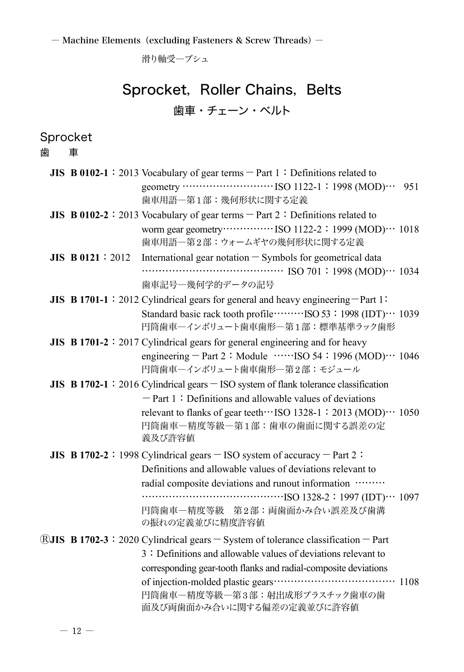滑り軸受―ブシュ

## Sprocket, Roller Chains, Belts 歯車・チェーン・ベルト

Sprocket<br>歯 車 歯

|                         | <b>JIS B 0102-1</b> : 2013 Vocabulary of gear terms $-$ Part 1 : Definitions related to |
|-------------------------|-----------------------------------------------------------------------------------------|
|                         |                                                                                         |
|                         | 歯車用語一第1部:幾何形状に関する定義                                                                     |
|                         | JIS B 0102-2 : 2013 Vocabulary of gear terms $-$ Part 2 : Definitions related to        |
|                         |                                                                                         |
|                         | 歯車用語一第2部:ウォームギヤの幾何形状に関する定義                                                              |
| <b>JIS B0121</b> : 2012 | International gear notation - Symbols for geometrical data                              |
|                         |                                                                                         |
|                         | 歯車記号一幾何学的データの記号                                                                         |
|                         | JIS B 1701-1: 2012 Cylindrical gears for general and heavy engineering $-$ Part 1:      |
|                         |                                                                                         |
|                         | 円筒歯車ーインボリュート歯車歯形一第1部:標準基準ラック歯形                                                          |
|                         | JIS B 1701-2 : 2017 Cylindrical gears for general engineering and for heavy             |
|                         | engineering – Part 2: Module $\cdots$ 1SO 54: 1996 (MOD) $\cdots$ 1046                  |
|                         | 円筒歯車ーインボリュート歯車歯形一第2部:モジュール                                                              |
|                         | JIS B 1702-1: 2016 Cylindrical gears $-$ ISO system of flank tolerance classification   |
|                         | $-$ Part 1: Definitions and allowable values of deviations                              |
|                         | relevant to flanks of gear teeth ··· ISO 1328-1: 2013 (MOD) ··· 1050                    |
|                         | 円筒歯車一精度等級一第1部:歯車の歯面に関する誤差の定                                                             |
|                         | 義及び許容値                                                                                  |
|                         | JIS B 1702-2:1998 Cylindrical gears $-$ ISO system of accuracy $-$ Part 2:              |
|                         | Definitions and allowable values of deviations relevant to                              |
|                         | radial composite deviations and runout information                                      |
|                         | $\cdots$ (IDT) $\cdots$ 1097                                                            |
|                         | 円筒歯車一精度等級 第2部:両歯面かみ合い誤差及び歯溝                                                             |
|                         | の振れの定義並びに精度許容値                                                                          |
|                         | ®JIS B 1702-3: 2020 Cylindrical gears - System of tolerance classification - Part       |
|                         | 3: Definitions and allowable values of deviations relevant to                           |
|                         | corresponding gear-tooth flanks and radial-composite deviations                         |
|                         |                                                                                         |
|                         | 円筒歯車一精度等級一第3部:射出成形プラスチック歯車の歯                                                            |
|                         | 面及び両歯面かみ合いに関する偏差の定義並びに許容値                                                               |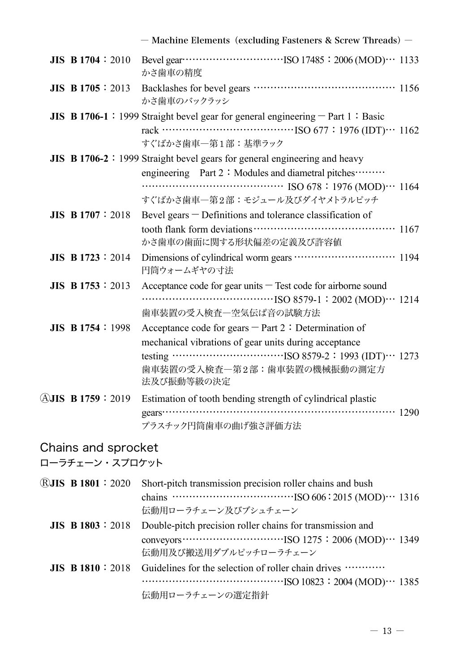|                            | - Machine Elements (excluding Fasteners & Screw Threads) -                                                                                                                                                                |
|----------------------------|---------------------------------------------------------------------------------------------------------------------------------------------------------------------------------------------------------------------------|
| <b>JIS B 1704</b> : 2010   | かさ歯車の精度                                                                                                                                                                                                                   |
| <b>JIS B 1705</b> : 2013   | かさ歯車のバックラッシ                                                                                                                                                                                                               |
|                            | JIS B 1706-1 : 1999 Straight bevel gear for general engineering $-$ Part 1 : Basic<br>すぐばかさ歯車一第1部:基準ラック                                                                                                                   |
|                            | <b>JIS B 1706-2</b> : 1999 Straight bevel gears for general engineering and heavy<br>engineering Part 2: Modules and diametral pitches………<br>$\cdots$ ISO 678 : 1976 (MOD) $\cdots$ 1164<br>すぐばかさ歯車一第2部:モジュール及びダイヤメトラルピッチ |
| <b>JIS B 1707</b> : 2018   | Bevel gears - Definitions and tolerance classification of<br>かさ歯車の歯面に関する形状偏差の定義及び許容値                                                                                                                                      |
| <b>JIS B 1723</b> : 2014   | Dimensions of cylindrical worm gears ······························ 1194<br>円筒ウォームギヤの寸法                                                                                                                                   |
| <b>JIS B</b> $1753 : 2013$ | Acceptance code for gear units $-$ Test code for airborne sound<br>歯車装置の受入検査一空気伝ぱ音の試験方法                                                                                                                                   |
| <b>JIS B 1754</b> : 1998   | Acceptance code for gears $-$ Part 2 : Determination of<br>mechanical vibrations of gear units during acceptance<br>歯車装置の受入検査一第2部:歯車装置の機械振動の測定方<br>法及び振動等級の決定                                                             |
| <b>AJIS B1759:2019</b>     | Estimation of tooth bending strength of cylindrical plastic<br>プラスチック円筒歯車の曲げ強さ評価方法                                                                                                                                        |

## Chains and sprocket

ローラチェーン・スプロケット

|  | <b>RJIS B 1801</b> : 2020 Short-pitch transmission precision roller chains and bush                                                                                                                                                                                                                                                  |
|--|--------------------------------------------------------------------------------------------------------------------------------------------------------------------------------------------------------------------------------------------------------------------------------------------------------------------------------------|
|  |                                                                                                                                                                                                                                                                                                                                      |
|  | 伝動用ローラチェーン及びブシュチェーン                                                                                                                                                                                                                                                                                                                  |
|  | <b>JIS B 1803</b> : 2018 Double-pitch precision roller chains for transmission and                                                                                                                                                                                                                                                   |
|  | conveyors $\cdots$ $\cdots$ $\cdots$ $\cdots$ $\cdots$ $\cdots$ $\cdots$ $\cdots$ $\cdots$ $\cdots$ $\cdots$ $\cdots$ $\cdots$ $\cdots$ $\cdots$ $\cdots$ $\cdots$ $\cdots$ $\cdots$ $\cdots$ $\cdots$ $\cdots$ $\cdots$ $\cdots$ $\cdots$ $\cdots$ $\cdots$ $\cdots$ $\cdots$ $\cdots$ $\cdots$ $\cdots$ $\cdots$ $\cdots$ $\cdots$ |
|  | 伝動用及び搬送用ダブルピッチローラチェーン                                                                                                                                                                                                                                                                                                                |
|  | <b>JIS B 1810</b> : 2018 Guidelines for the selection of roller chain drives $\cdots$                                                                                                                                                                                                                                                |
|  |                                                                                                                                                                                                                                                                                                                                      |
|  | 伝動用ローラチェーンの選定指針                                                                                                                                                                                                                                                                                                                      |
|  |                                                                                                                                                                                                                                                                                                                                      |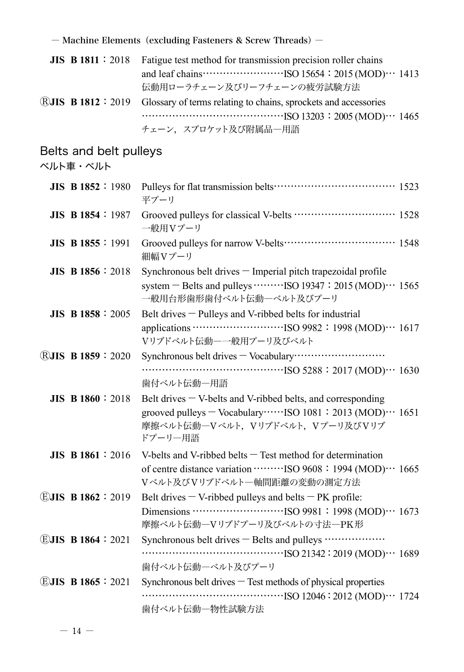| JIS B 1811 : 2018 Fatigue test method for transmission precision roller chains                                      |
|---------------------------------------------------------------------------------------------------------------------|
| and leaf chains $\cdots$ $\cdots$ $\cdots$ $\cdots$ $\cdots$ $\cdots$ $\cdots$ ISO 15654 : 2015 (MOD) $\cdots$ 1413 |
| 伝動用ローラチェーン及びリーフチェーンの疲労試験方法                                                                                          |
| <b>RJIS B 1812 : 2019</b> Glossary of terms relating to chains, sprockets and accessories                           |
|                                                                                                                     |
| チェーン、スプロケット及び附属品一用語                                                                                                 |

Belts and belt pulleys

ベルト車・ベルト

| $JIS$ B 1852 : 1980      | 平プーリ                                                                                                                                                                               |  |
|--------------------------|------------------------------------------------------------------------------------------------------------------------------------------------------------------------------------|--|
| <b>JIS B 1854</b> : 1987 | Grooved pulleys for classical V-belts ······························ 1528<br>一般用Vプーリ                                                                                               |  |
| <b>JIS B 1855</b> : 1991 | 細幅Vプーリ                                                                                                                                                                             |  |
| JIS B 1856 : 2018        | Synchronous belt drives - Imperial pitch trapezoidal profile<br>system – Belts and pulleys $\cdots \cdots \cdots$ ISO 19347 : 2015 (MOD) $\cdots$ 1565<br>一般用台形歯形歯付ベルト伝動ーベルト及びプーリ  |  |
| <b>JIS B 1858 : 2005</b> | Belt drives - Pulleys and V-ribbed belts for industrial<br>Vリブドベルト伝動ー一般用プーリ及びベルト                                                                                                   |  |
| <b>RJIS B 1859: 2020</b> | 歯付ベルト伝動一用語                                                                                                                                                                         |  |
| <b>JIS B 1860: 2018</b>  | Belt drives $-$ V-belts and V-ribbed belts, and corresponding<br>grooved pulleys - Vocabulary ······· ISO 1081: 2013 (MOD) ··· 1651<br>摩擦ベルト伝動―Vベルト, Vリブドベルト, Vプーリ及びVリブ<br>ドプーリー用語 |  |
| $JIS$ B 1861 : 2016      | V-belts and V-ribbed belts $-$ Test method for determination<br>Vベルト及びVリブドベルト一軸間距離の変動の測定方法                                                                                         |  |
| EJIS B1862 : 2019        | Belt drives $-$ V-ribbed pulleys and belts $-$ PK profile:<br>摩擦ベルト伝動ーVリブドプーリ及びベルトの寸法一PK形                                                                                          |  |
| $EJIS$ B 1864 : 2021     | Synchronous belt drives - Belts and pulleys<br>歯付ベルト伝動ーベルト及びプーリ                                                                                                                    |  |
| EJIS B1865 : 2021        | Synchronous belt drives - Test methods of physical properties<br>歯付ベルト伝動一物性試験方法                                                                                                    |  |

 $-14 -$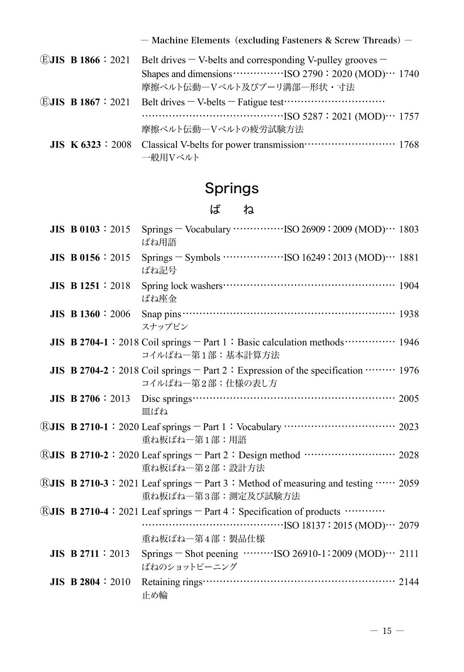|  | <b>EJIS B 1866</b> : 2021 Belt drives $-V$ -belts and corresponding V-pulley grooves $-$               |
|--|--------------------------------------------------------------------------------------------------------|
|  |                                                                                                        |
|  | 摩擦ベルト伝動ーVベルト及びプーリ溝部一形状·寸法                                                                              |
|  | <b>EJIS B 1867</b> : 2021 Belt drives $-V$ -belts $-$ Fatigue test $\cdots$ $\cdots$ $\cdots$ $\cdots$ |
|  |                                                                                                        |
|  | 摩擦ベルト伝動ーVベルトの疲労試験方法                                                                                    |
|  |                                                                                                        |
|  | 一般用Vベルト                                                                                                |

# Springs

ば ね

| <b>JIS B0103:2015</b>      | Springs – Vocabulary ······················ISO 26909: 2009 (MOD) ··· 1803<br>ばね用語                                         |  |
|----------------------------|---------------------------------------------------------------------------------------------------------------------------|--|
| <b>JIS B 0156</b> : 2015   | Springs $-$ Symbols $\cdots$ $\cdots$ $\cdots$ ISO 16249 : 2013 (MOD) $\cdots$ 1881<br>ばね記号                               |  |
| <b>JIS B</b> $1251 : 2018$ | ばね座金                                                                                                                      |  |
| $JIS$ B 1360 : 2006        | スナップピン                                                                                                                    |  |
|                            | JIS B 2704-1: 2018 Coil springs - Part 1: Basic calculation methods  1946<br>コイルばねー第1部: 基本計算方法                            |  |
|                            | JIS B 2704-2 : 2018 Coil springs $-$ Part 2 : Expression of the specification $\cdots$ 1976<br>コイルばね一第2部:仕様の表し方           |  |
|                            | 皿ばね                                                                                                                       |  |
|                            | 重ね板ばね一第1部:用語                                                                                                              |  |
|                            | 重ね板ばね一第2部:設計方法                                                                                                            |  |
|                            | <b>®JIS B 2710-3</b> : 2021 Leaf springs $-$ Part 3 : Method of measuring and testing $\cdots$ 2059<br>重ね板ばねー第3部:測定及び試験方法 |  |
|                            | ®JIS B 2710-4: 2021 Leaf springs – Part 4: Specification of products …………<br>重ね板ばね―第4部:製品仕様                               |  |
| JIS B 2711 : 2013          | Springs – Shot peening $\cdots$ $\cdots$ ISO 26910-1:2009 (MOD) $\cdots$ 2111<br>ばねのショットピーニング                             |  |
| JIS B 2804 : $2010$        | 止め輪                                                                                                                       |  |